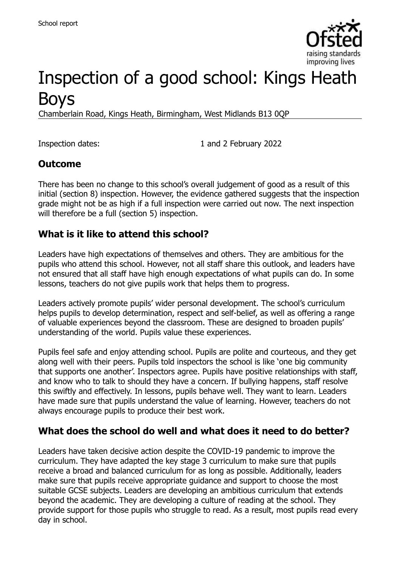

# Inspection of a good school: Kings Heath Boys

Chamberlain Road, Kings Heath, Birmingham, West Midlands B13 0QP

Inspection dates: 1 and 2 February 2022

#### **Outcome**

There has been no change to this school's overall judgement of good as a result of this initial (section 8) inspection. However, the evidence gathered suggests that the inspection grade might not be as high if a full inspection were carried out now. The next inspection will therefore be a full (section 5) inspection.

# **What is it like to attend this school?**

Leaders have high expectations of themselves and others. They are ambitious for the pupils who attend this school. However, not all staff share this outlook, and leaders have not ensured that all staff have high enough expectations of what pupils can do. In some lessons, teachers do not give pupils work that helps them to progress.

Leaders actively promote pupils' wider personal development. The school's curriculum helps pupils to develop determination, respect and self-belief, as well as offering a range of valuable experiences beyond the classroom. These are designed to broaden pupils' understanding of the world. Pupils value these experiences.

Pupils feel safe and enjoy attending school. Pupils are polite and courteous, and they get along well with their peers. Pupils told inspectors the school is like 'one big community that supports one another'. Inspectors agree. Pupils have positive relationships with staff, and know who to talk to should they have a concern. If bullying happens, staff resolve this swiftly and effectively. In lessons, pupils behave well. They want to learn. Leaders have made sure that pupils understand the value of learning. However, teachers do not always encourage pupils to produce their best work.

#### **What does the school do well and what does it need to do better?**

Leaders have taken decisive action despite the COVID-19 pandemic to improve the curriculum. They have adapted the key stage 3 curriculum to make sure that pupils receive a broad and balanced curriculum for as long as possible. Additionally, leaders make sure that pupils receive appropriate guidance and support to choose the most suitable GCSE subjects. Leaders are developing an ambitious curriculum that extends beyond the academic. They are developing a culture of reading at the school. They provide support for those pupils who struggle to read. As a result, most pupils read every day in school.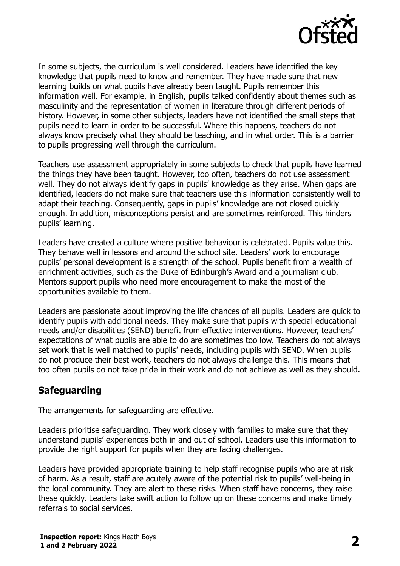

In some subjects, the curriculum is well considered. Leaders have identified the key knowledge that pupils need to know and remember. They have made sure that new learning builds on what pupils have already been taught. Pupils remember this information well. For example, in English, pupils talked confidently about themes such as masculinity and the representation of women in literature through different periods of history. However, in some other subjects, leaders have not identified the small steps that pupils need to learn in order to be successful. Where this happens, teachers do not always know precisely what they should be teaching, and in what order. This is a barrier to pupils progressing well through the curriculum.

Teachers use assessment appropriately in some subjects to check that pupils have learned the things they have been taught. However, too often, teachers do not use assessment well. They do not always identify gaps in pupils' knowledge as they arise. When gaps are identified, leaders do not make sure that teachers use this information consistently well to adapt their teaching. Consequently, gaps in pupils' knowledge are not closed quickly enough. In addition, misconceptions persist and are sometimes reinforced. This hinders pupils' learning.

Leaders have created a culture where positive behaviour is celebrated. Pupils value this. They behave well in lessons and around the school site. Leaders' work to encourage pupils' personal development is a strength of the school. Pupils benefit from a wealth of enrichment activities, such as the Duke of Edinburgh's Award and a journalism club. Mentors support pupils who need more encouragement to make the most of the opportunities available to them.

Leaders are passionate about improving the life chances of all pupils. Leaders are quick to identify pupils with additional needs. They make sure that pupils with special educational needs and/or disabilities (SEND) benefit from effective interventions. However, teachers' expectations of what pupils are able to do are sometimes too low. Teachers do not always set work that is well matched to pupils' needs, including pupils with SEND. When pupils do not produce their best work, teachers do not always challenge this. This means that too often pupils do not take pride in their work and do not achieve as well as they should.

# **Safeguarding**

The arrangements for safeguarding are effective.

Leaders prioritise safeguarding. They work closely with families to make sure that they understand pupils' experiences both in and out of school. Leaders use this information to provide the right support for pupils when they are facing challenges.

Leaders have provided appropriate training to help staff recognise pupils who are at risk of harm. As a result, staff are acutely aware of the potential risk to pupils' well-being in the local community. They are alert to these risks. When staff have concerns, they raise these quickly. Leaders take swift action to follow up on these concerns and make timely referrals to social services.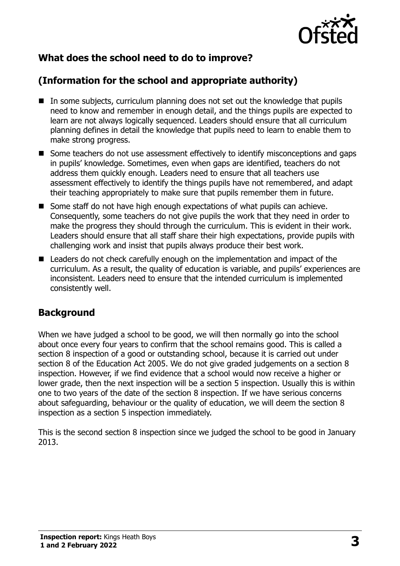

# **What does the school need to do to improve?**

# **(Information for the school and appropriate authority)**

- In some subjects, curriculum planning does not set out the knowledge that pupils need to know and remember in enough detail, and the things pupils are expected to learn are not always logically sequenced. Leaders should ensure that all curriculum planning defines in detail the knowledge that pupils need to learn to enable them to make strong progress.
- Some teachers do not use assessment effectively to identify misconceptions and gaps in pupils' knowledge. Sometimes, even when gaps are identified, teachers do not address them quickly enough. Leaders need to ensure that all teachers use assessment effectively to identify the things pupils have not remembered, and adapt their teaching appropriately to make sure that pupils remember them in future.
- Some staff do not have high enough expectations of what pupils can achieve. Consequently, some teachers do not give pupils the work that they need in order to make the progress they should through the curriculum. This is evident in their work. Leaders should ensure that all staff share their high expectations, provide pupils with challenging work and insist that pupils always produce their best work.
- Leaders do not check carefully enough on the implementation and impact of the curriculum. As a result, the quality of education is variable, and pupils' experiences are inconsistent. Leaders need to ensure that the intended curriculum is implemented consistently well.

# **Background**

When we have judged a school to be good, we will then normally go into the school about once every four years to confirm that the school remains good. This is called a section 8 inspection of a good or outstanding school, because it is carried out under section 8 of the Education Act 2005. We do not give graded judgements on a section 8 inspection. However, if we find evidence that a school would now receive a higher or lower grade, then the next inspection will be a section 5 inspection. Usually this is within one to two years of the date of the section 8 inspection. If we have serious concerns about safeguarding, behaviour or the quality of education, we will deem the section 8 inspection as a section 5 inspection immediately.

This is the second section 8 inspection since we judged the school to be good in January 2013.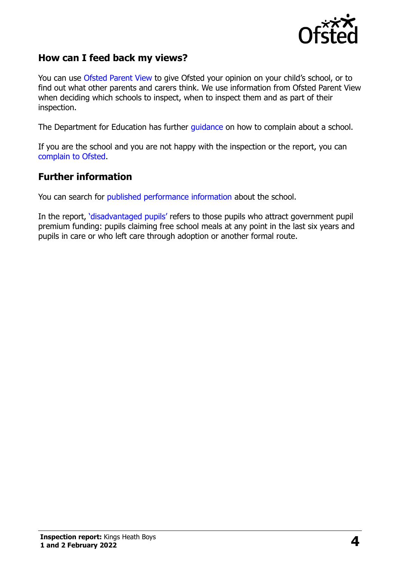

#### **How can I feed back my views?**

You can use [Ofsted Parent View](https://parentview.ofsted.gov.uk/) to give Ofsted your opinion on your child's school, or to find out what other parents and carers think. We use information from Ofsted Parent View when deciding which schools to inspect, when to inspect them and as part of their inspection.

The Department for Education has further [guidance](http://www.gov.uk/complain-about-school) on how to complain about a school.

If you are the school and you are not happy with the inspection or the report, you can [complain to Ofsted.](https://www.gov.uk/complain-ofsted-report)

#### **Further information**

You can search for [published performance information](http://www.compare-school-performance.service.gov.uk/) about the school.

In the report, '[disadvantaged pupils](http://www.gov.uk/guidance/pupil-premium-information-for-schools-and-alternative-provision-settings)' refers to those pupils who attract government pupil premium funding: pupils claiming free school meals at any point in the last six years and pupils in care or who left care through adoption or another formal route.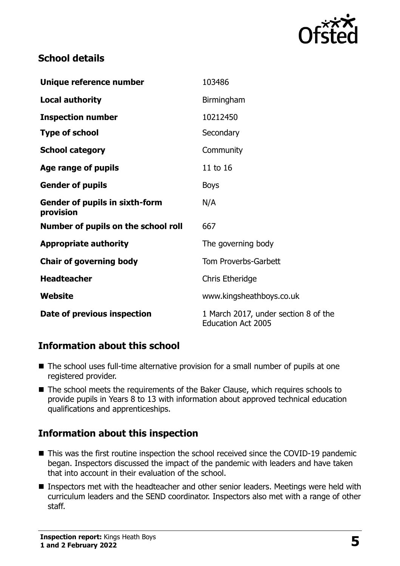

#### **School details**

| Unique reference number                            | 103486                                                            |
|----------------------------------------------------|-------------------------------------------------------------------|
| <b>Local authority</b>                             | Birmingham                                                        |
| <b>Inspection number</b>                           | 10212450                                                          |
| <b>Type of school</b>                              | Secondary                                                         |
| <b>School category</b>                             | Community                                                         |
| Age range of pupils                                | 11 to 16                                                          |
| <b>Gender of pupils</b>                            | <b>Boys</b>                                                       |
| <b>Gender of pupils in sixth-form</b><br>provision | N/A                                                               |
| Number of pupils on the school roll                | 667                                                               |
| <b>Appropriate authority</b>                       | The governing body                                                |
| <b>Chair of governing body</b>                     | Tom Proverbs-Garbett                                              |
| <b>Headteacher</b>                                 | Chris Etheridge                                                   |
| Website                                            | www.kingsheathboys.co.uk                                          |
| Date of previous inspection                        | 1 March 2017, under section 8 of the<br><b>Education Act 2005</b> |

# **Information about this school**

- The school uses full-time alternative provision for a small number of pupils at one registered provider.
- The school meets the requirements of the Baker Clause, which requires schools to provide pupils in Years 8 to 13 with information about approved technical education qualifications and apprenticeships.

# **Information about this inspection**

- This was the first routine inspection the school received since the COVID-19 pandemic began. Inspectors discussed the impact of the pandemic with leaders and have taken that into account in their evaluation of the school.
- **Inspectors met with the headteacher and other senior leaders. Meetings were held with** curriculum leaders and the SEND coordinator. Inspectors also met with a range of other staff.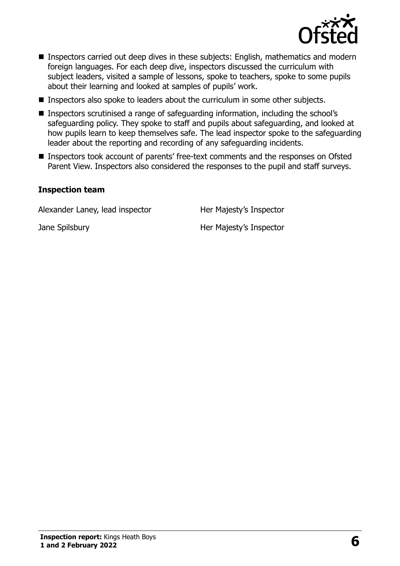

- **Inspectors carried out deep dives in these subjects: English, mathematics and modern** foreign languages. For each deep dive, inspectors discussed the curriculum with subject leaders, visited a sample of lessons, spoke to teachers, spoke to some pupils about their learning and looked at samples of pupils' work.
- **Inspectors also spoke to leaders about the curriculum in some other subjects.**
- Inspectors scrutinised a range of safeguarding information, including the school's safeguarding policy. They spoke to staff and pupils about safeguarding, and looked at how pupils learn to keep themselves safe. The lead inspector spoke to the safeguarding leader about the reporting and recording of any safeguarding incidents.
- Inspectors took account of parents' free-text comments and the responses on Ofsted Parent View. Inspectors also considered the responses to the pupil and staff surveys.

#### **Inspection team**

Alexander Laney, lead inspector Her Majesty's Inspector

Jane Spilsbury **Her Majesty's Inspector** 

**Inspection report:** Kings Heath Boys **<sup>1</sup> and 2 February 2022 6**